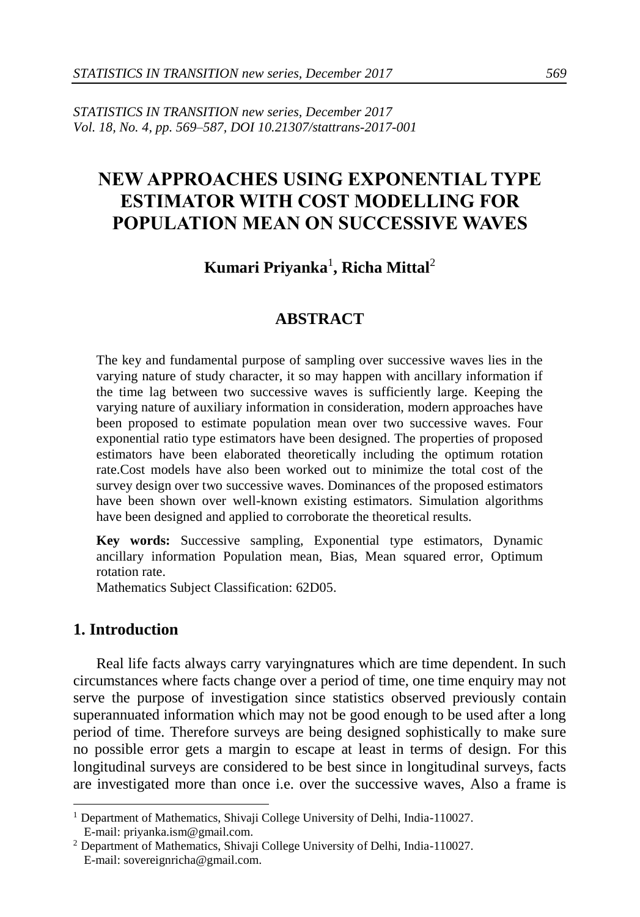*STATISTICS IN TRANSITION new series, December 2017 Vol. 18, No. 4, pp. 569–587, DOI 10.21307/stattrans-2017-001*

# **NEW APPROACHES USING EXPONENTIAL TYPE ESTIMATOR WITH COST MODELLING FOR POPULATION MEAN ON SUCCESSIVE WAVES**

## **Kumari Priyanka**<sup>1</sup> **, Richa Mittal**<sup>2</sup>

#### **ABSTRACT**

The key and fundamental purpose of sampling over successive waves lies in the varying nature of study character, it so may happen with ancillary information if the time lag between two successive waves is sufficiently large. Keeping the varying nature of auxiliary information in consideration, modern approaches have been proposed to estimate population mean over two successive waves. Four exponential ratio type estimators have been designed. The properties of proposed estimators have been elaborated theoretically including the optimum rotation rate.Cost models have also been worked out to minimize the total cost of the survey design over two successive waves. Dominances of the proposed estimators have been shown over well-known existing estimators. Simulation algorithms have been designed and applied to corroborate the theoretical results.

**Key words:** Successive sampling, Exponential type estimators, Dynamic ancillary information Population mean, Bias, Mean squared error, Optimum rotation rate.

Mathematics Subject Classification: 62D05.

### **1. Introduction**

-

Real life facts always carry varyingnatures which are time dependent. In such circumstances where facts change over a period of time, one time enquiry may not serve the purpose of investigation since statistics observed previously contain superannuated information which may not be good enough to be used after a long period of time. Therefore surveys are being designed sophistically to make sure no possible error gets a margin to escape at least in terms of design. For this longitudinal surveys are considered to be best since in longitudinal surveys, facts are investigated more than once i.e. over the successive waves, Also a frame is

<sup>&</sup>lt;sup>1</sup> Department of Mathematics, Shivaji College University of Delhi, India-110027. E-mail: [priyanka.ism@gmail.com.](mailto:priyanka.ism@gmail.com)

<sup>2</sup> Department of Mathematics, Shivaji College University of Delhi, India-110027. E-mail: [sovereignricha@gmail.com.](mailto:sovereignricha@gmail.com)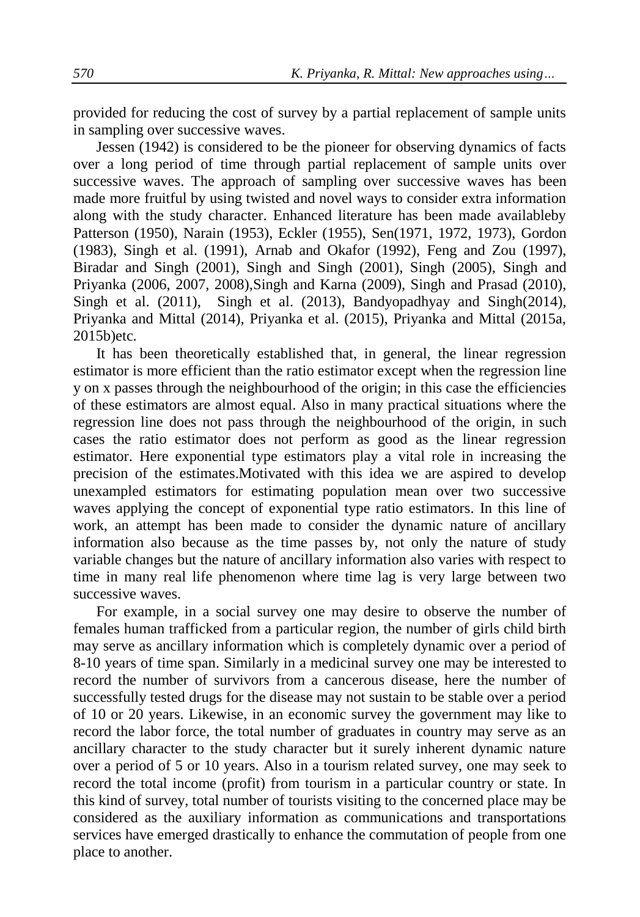provided for reducing the cost of survey by a partial replacement of sample units in sampling over successive waves.

Jessen (1942) is considered to be the pioneer for observing dynamics of facts over a long period of time through partial replacement of sample units over successive waves. The approach of sampling over successive waves has been made more fruitful by using twisted and novel ways to consider extra information along with the study character. Enhanced literature has been made availableby Patterson (1950), Narain (1953), Eckler (1955), Sen(1971, 1972, 1973), Gordon (1983), Singh et al. (1991), Arnab and Okafor (1992), Feng and Zou (1997), Biradar and Singh (2001), Singh and Singh (2001), Singh (2005), Singh and Priyanka (2006, 2007, 2008),Singh and Karna (2009), Singh and Prasad (2010), Singh et al. (2011), Singh et al. (2013), Bandyopadhyay and Singh(2014), Priyanka and Mittal (2014), Priyanka et al. (2015), Priyanka and Mittal (2015a, 2015b)etc.

It has been theoretically established that, in general, the linear regression estimator is more efficient than the ratio estimator except when the regression line y on x passes through the neighbourhood of the origin; in this case the efficiencies of these estimators are almost equal. Also in many practical situations where the regression line does not pass through the neighbourhood of the origin, in such cases the ratio estimator does not perform as good as the linear regression estimator. Here exponential type estimators play a vital role in increasing the precision of the estimates.Motivated with this idea we are aspired to develop unexampled estimators for estimating population mean over two successive waves applying the concept of exponential type ratio estimators. In this line of work, an attempt has been made to consider the dynamic nature of ancillary information also because as the time passes by, not only the nature of study variable changes but the nature of ancillary information also varies with respect to time in many real life phenomenon where time lag is very large between two successive waves.

For example, in a social survey one may desire to observe the number of females human trafficked from a particular region, the number of girls child birth may serve as ancillary information which is completely dynamic over a period of 8-10 years of time span. Similarly in a medicinal survey one may be interested to record the number of survivors from a cancerous disease, here the number of successfully tested drugs for the disease may not sustain to be stable over a period of 10 or 20 years. Likewise, in an economic survey the government may like to record the labor force, the total number of graduates in country may serve as an ancillary character to the study character but it surely inherent dynamic nature over a period of 5 or 10 years. Also in a tourism related survey, one may seek to record the total income (profit) from tourism in a particular country or state. In this kind of survey, total number of tourists visiting to the concerned place may be considered as the auxiliary information as communications and transportations services have emerged drastically to enhance the commutation of people from one place to another.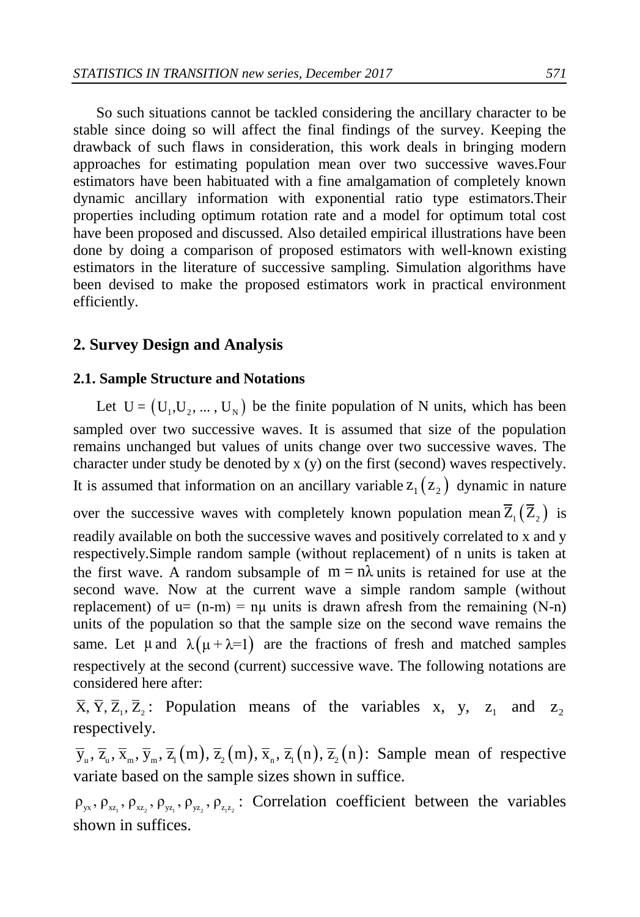So such situations cannot be tackled considering the ancillary character to be stable since doing so will affect the final findings of the survey. Keeping the drawback of such flaws in consideration, this work deals in bringing modern approaches for estimating population mean over two successive waves.Four estimators have been habituated with a fine amalgamation of completely known dynamic ancillary information with exponential ratio type estimators.Their properties including optimum rotation rate and a model for optimum total cost have been proposed and discussed. Also detailed empirical illustrations have been done by doing a comparison of proposed estimators with well-known existing estimators in the literature of successive sampling. Simulation algorithms have been devised to make the proposed estimators work in practical environment efficiently.

### **2. Survey Design and Analysis**

#### **2.1. Sample Structure and Notations**

Let  $U = (U_1, U_2, ..., U_N)$  be the finite population of N units, which has been sampled over two successive waves. It is assumed that size of the population remains unchanged but values of units change over two successive waves. The character under study be denoted by x (y) on the first (second) waves respectively. It is assumed that information on an ancillary variable  $z_1(z_2)$  dynamic in nature over the successive waves with completely known population mean  $Z_1(Z_2)$  is readily available on both the successive waves and positively correlated to x and y respectively.Simple random sample (without replacement) of n units is taken at the first wave. A random subsample of  $m = n\lambda$  units is retained for use at the second wave. Now at the current wave a simple random sample (without replacement) of  $u = (n-m) = n\mu$  units is drawn afresh from the remaining (N-n) units of the population so that the sample size on the second wave remains the same. Let  $\mu$  and  $\lambda(\mu + \lambda = 1)$  are the fractions of fresh and matched samples respectively at the second (current) successive wave. The following notations are considered here after:

 $\overline{X}$ ,  $\overline{Y}$ ,  $\overline{Z}$ ,  $\overline{Z}$ ,  $\overline{Z}$  Population means of the variables x, y,  $z_1$  and  $\mathbf{z}_2$ respectively.

respectively.<br> $\overline{y}_u$ ,  $\overline{z}_u$ ,  $\overline{x}_m$ ,  $\overline{y}_m$ ,  $\overline{z}_1(m)$ ,  $\overline{z}_2(m)$ ,  $\overline{x}_n$ ,  $\overline{z}_1(n)$ ,  $\overline{z}_2(n)$ : Sample mean of respective variate based on the sample sizes shown in suffice.

 $\rho_{yx}, \rho_{xz_1}, \rho_{xz_2}, \rho_{yz_1}, \rho_{yz_2}, \rho_{zz_2}$ : Correlation coefficient between the variables shown in suffices.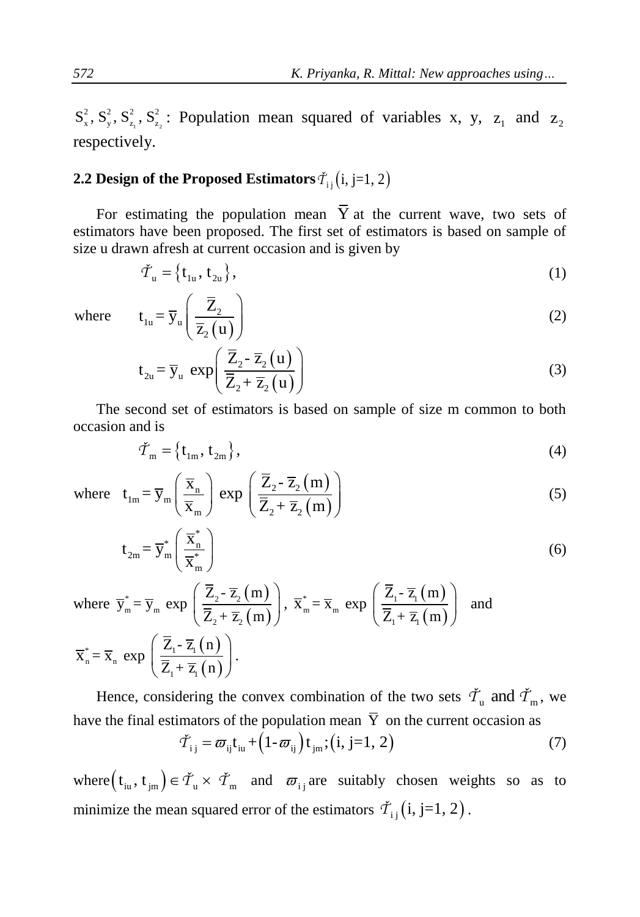$S_x^2$ ,  $S_y^2$ ,  $S_{z_1}^2$ ,  $S_{z_2}^2$ : Population mean squared of variables x, y, z<sub>1</sub> and z<sub>2</sub> respectively.

## **2.2 Design of the Proposed Estimators**  $\check{T}_{\mathrm{i}\,\mathrm{j}}\mathrm{(i,j=1,2)}$

For estimating the population mean  $\overline{Y}$  at the current wave, two sets of estimators have been proposed. The first set of estimators is based on sample of size u drawn afresh at current occasion and is given by

$$
\tilde{\mathcal{T}}_{\mathbf{u}} = \left\{ \mathbf{t}_{1\mathbf{u}}, \mathbf{t}_{2\mathbf{u}} \right\},\tag{1}
$$

where

$$
t_{1u} = \overline{y}_u \left( \frac{\overline{Z}_2}{\overline{z}_2(u)} \right)
$$
 (2)

$$
t_{2u} = \overline{y}_u \exp\left(\frac{\overline{Z}_2 - \overline{z}_2(u)}{\overline{Z}_2 + \overline{z}_2(u)}\right)
$$
 (3)

The second set of estimators is based on sample of size m common to both occasion and is

$$
\check{\mathcal{T}}_{\mathbf{m}} = \left\{ \mathbf{t}_{1\mathbf{m}}, \mathbf{t}_{2\mathbf{m}} \right\},\tag{4}
$$

where 
$$
t_{Im} = \overline{y}_m \left( \frac{\overline{x}_n}{\overline{x}_m} \right) \exp \left( \frac{\overline{Z}_2 - \overline{z}_2(m)}{\overline{Z}_2 + \overline{z}_2(m)} \right)
$$
 (5)

$$
t_{2m} = \overline{y}_m^* \left(\frac{\overline{x}_n^*}{\overline{x}_m^*}\right)
$$
 (6)

where 
$$
\overline{y}_{m}^{*} = \overline{y}_{m}
$$
 exp  $\left(\frac{\overline{Z}_{2} - \overline{z}_{2}(m)}{\overline{Z}_{2} + \overline{z}_{2}(m)}\right)$ ,  $\overline{x}_{m}^{*} = \overline{x}_{m}$  exp  $\left(\frac{\overline{Z}_{1} - \overline{z}_{1}(m)}{\overline{Z}_{1} + \overline{z}_{1}(m)}\right)$  and  
\n $\overline{x}_{n}^{*} = \overline{x}_{n}$  exp  $\left(\frac{\overline{Z}_{1} - \overline{z}_{1}(n)}{\overline{Z}_{1} + \overline{z}_{1}(n)}\right)$ .

Hence, considering the convex combination of the two sets  $\check{\mathcal{T}}_u$  and  $\check{\mathcal{T}}_m$ , we have the final estimators of the population mean  $\overline{Y}$  on the current occasion as  $\tilde{T}_{ij} = \overline{\omega}_{ij} t_{iu} + (1-\overline{\omega}_{ij}) t_{jm}$ ; (i, j=1, 2)

$$
\check{T}_{ij} = \varpi_{ij} t_{iu} + (1 - \varpi_{ij}) t_{jm}; (i, j = 1, 2)
$$
\n
$$
\tag{7}
$$

where  $(t_{i_1}, t_{j_1}) \in \tilde{T}_u \times \tilde{T}_m$  and  $\overline{\omega}_{i j}$  are suitably chosen weights so as to minimize the mean squared error of the estimators  $\check{\mathcal{T}}_{i,j}(i,j=1,2)$ .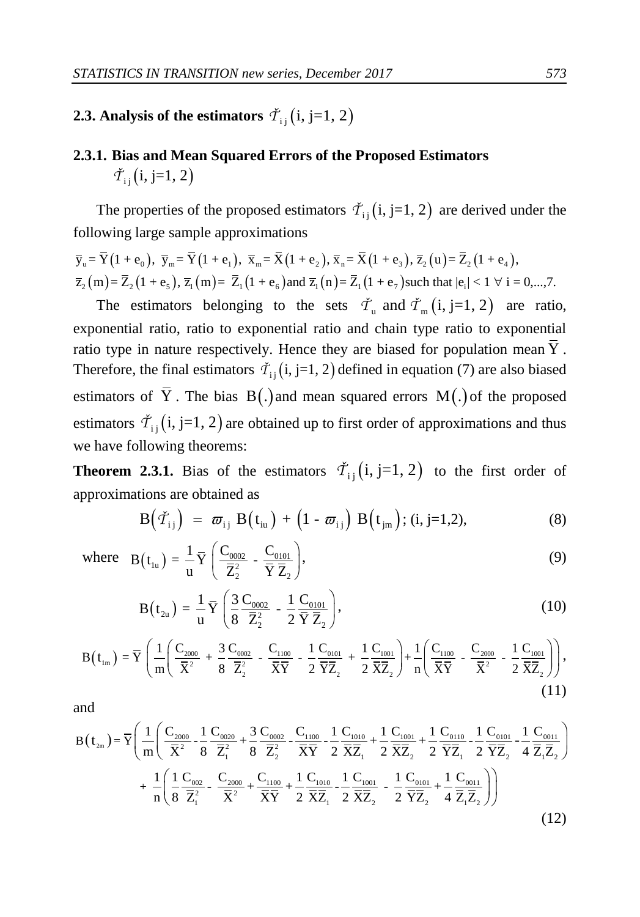## **2.3. Analysis of the estimators**  $\check{\mathcal{T}}_{ij}$  (i, j=1, 2)

## **2.3.1. Bias and Mean Squared Errors of the Proposed Estimators**  $\check{\mathcal{T}}_{\rm ii}$  (i, j=1, 2)

The properties of the proposed estimators  $\tilde{T}_{ij}$  (i, j=1, 2) are derived under the<br>following large sample approximations<br> $\overline{y}_u = \overline{Y}(1 + e_0)$ ,  $\overline{y}_m = \overline{Y}(1 + e_1)$ ,  $\overline{x}_m = \overline{X}(1 + e_2)$ ,  $\overline{x}_n = \overline{X}(1 + e_3)$ ,  $\over$ 

following large sample approximations  
\n
$$
\overline{y}_u = \overline{Y}(1 + e_0), \ \overline{y}_m = \overline{Y}(1 + e_1), \ \overline{x}_m = \overline{X}(1 + e_2), \ \overline{x}_n = \overline{X}(1 + e_3), \ \overline{z}_2(u) = \overline{Z}_2(1 + e_4),
$$
  
\n $\overline{z}_2(m) = \overline{Z}_2(1 + e_5), \ \overline{z}_1(m) = \overline{Z}_1(1 + e_6)$  and  $\overline{z}_1(n) = \overline{Z}_1(1 + e_7)$  such that  $|e_i| < 1 \ \forall i = 0,...,7$ .

The estimators belonging to the sets  $\check{\tau}_u$  and  $\check{\tau}_m$  (i, j=1, 2) are ratio, exponential ratio, ratio to exponential ratio and chain type ratio to exponential ratio type in nature respectively. Hence they are biased for population mean Y . Therefore, the final estimators  $\tilde{\mathcal{T}}_{i,j}$  (i, j=1, 2) defined in equation (7) are also biased estimators of Y. The bias  $B(.)$  and mean squared errors  $M(.)$  of the proposed estimators  $\check{\mathcal{T}}_{ij}$  (i, j=1, 2) are obtained up to first order of approximations and thus we have following theorems:

**Theorem 2.3.1.** Bias of the estimators  $\tilde{T}_{ij}(i, j=1, 2)$  to the first order of

approximations are obtained as  
\n
$$
B(\tilde{T}_{ij}) = \overline{\omega}_{ij} B(t_{iu}) + (1 - \overline{\omega}_{ij}) B(t_{jm}); (i, j=1, 2),
$$
\n(8)

where 
$$
B(t_{1u}) = \frac{1}{u} \overline{Y} \left( \frac{C_{0002}}{\overline{Z}_2^2} - \frac{C_{0101}}{\overline{Y} \overline{Z}_2} \right)
$$
, (9)

$$
B(t_{2u}) = \frac{1}{u} \overline{Y} \left( \frac{3}{8} \frac{C_{0002}}{\overline{Z}_{2}^{2}} - \frac{1}{2} \frac{C_{0101}}{\overline{Y}} \overline{Z}_{2} \right),
$$
\n
$$
\overline{Y} \left( \frac{1}{2} \left( \frac{C_{2000}}{\overline{Y}^{2}} + \frac{3}{8} \frac{C_{0002}}{\overline{Y}^{2}} - \frac{C_{1100}}{\overline{Y}^{2}} - \frac{1}{2} \frac{C_{0101}}{\overline{Y}^{2}} + \frac{1}{2} \frac{C_{1001}}{\overline{Y}^{2}} \right) + \frac{1}{2} \left( \frac{C_{1100}}{\overline{Y}^{2}} - \frac{C_{2000}}{\overline{Y}^{2}} - \frac{1}{2} \frac{C_{1001}}{\overline{Y}^{2}} \right) \right),
$$
\n(10)

$$
B(t_{2u}) = \frac{1}{u} \overline{Y} \left( \frac{3}{8} \frac{C_{0002}}{\overline{Z}_{2}^{2}} - \frac{1}{2} \frac{C_{0101}}{\overline{Y}} \overline{Z}_{2} \right),
$$
\n
$$
B(t_{1m}) = \overline{Y} \left( \frac{1}{m} \left( \frac{C_{2000}}{\overline{X}^{2}} + \frac{3}{8} \frac{C_{0002}}{\overline{Z}_{2}^{2}} - \frac{C_{1100}}{\overline{X}\overline{Y}} - \frac{1}{2} \frac{C_{001}}{\overline{Y}\overline{Z}_{2}} + \frac{1}{2} \frac{C_{1001}}{\overline{X}\overline{Z}_{2}} \right) + \frac{1}{n} \left( \frac{C_{1100}}{\overline{X}\overline{Y}} - \frac{C_{2000}}{\overline{X}^{2}} - \frac{1}{2} \frac{C_{1001}}{\overline{X}\overline{Z}_{2}} \right) \right),
$$
\n
$$
(11)
$$

and

$$
(\mathbf{m} \times \mathbf{8} \mathbf{Z}_{2} \mathbf{X} \mathbf{Y} \mathbf{Z} \mathbf{Y} \mathbf{Z}_{2} \mathbf{Z} \mathbf{X} \mathbf{Z}_{2}) \mathbf{n} (\mathbf{X} \mathbf{Y} \mathbf{X} \mathbf{Z} \mathbf{Z} \mathbf{Z}_{2})
$$
\nand\n
$$
B(t_{2m}) = \overline{Y} \bigg( \frac{1}{m} \bigg( \frac{C_{2000}}{\overline{X}^{2}} - \frac{1}{8} \frac{C_{0020}}{\overline{Z}_{1}^{2}} + \frac{3}{8} \frac{C_{0002}}{\overline{Z}_{2}^{2}} - \frac{C_{1100}}{\overline{X}^{2}} - \frac{1}{2} \frac{C_{1010}}{\overline{X}^{2}} + \frac{1}{2} \frac{C_{1011}}{\overline{X}^{2}} + \frac{1}{2} \frac{C_{0110}}{\overline{X}^{2}} - \frac{1}{2} \frac{C_{0111}}{\overline{Y}^{2}} - \frac{1}{2} \frac{C_{0111}}{\overline{X}^{2}} \bigg) + \frac{1}{n} \bigg( \frac{1}{8} \frac{C_{002}}{\overline{Z}_{1}^{2}} - \frac{C_{2000}}{\overline{X}^{2}} + \frac{C_{1100}}{\overline{X}^{2}} + \frac{1}{2} \frac{C_{1011}}{\overline{X}^{2}} - \frac{1}{2} \frac{C_{1011}}{\overline{X}^{2}} - \frac{1}{2} \frac{C_{0111}}{\overline{Y}^{2}} + \frac{1}{4} \frac{C_{0011}}{\overline{Z}_{1}^{2}} \bigg) \bigg)
$$
\n
$$
(12)
$$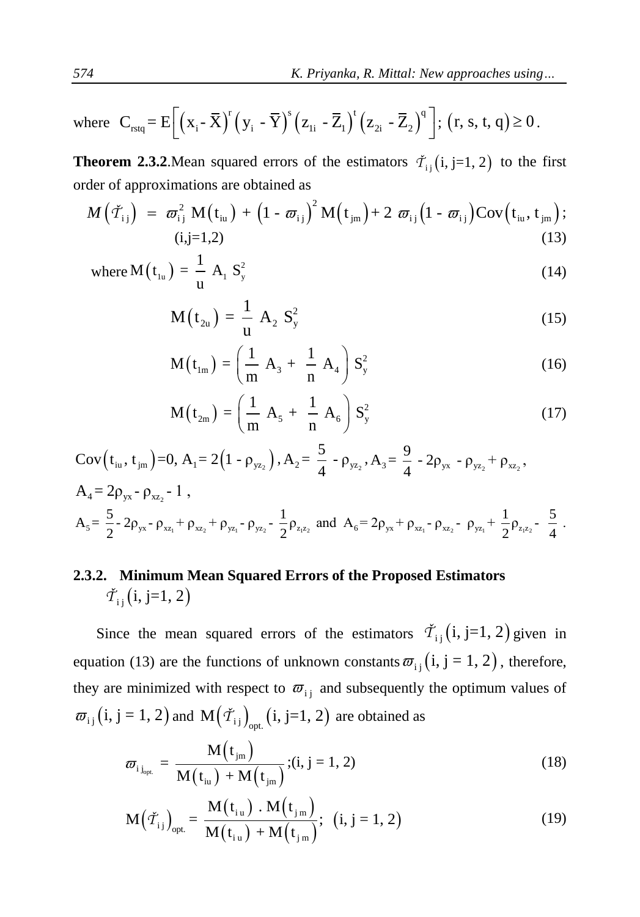where 
$$
C_{rstq} = E\left[\left(x_i - \overline{X}\right)^r \left(y_i - \overline{Y}\right)^s \left(z_{1i} - \overline{Z}_1\right)^t \left(z_{2i} - \overline{Z}_2\right)^q\right]; (r, s, t, q) \ge 0.
$$

**Theorem 2.3.2**.Mean squared errors of the estimators  $\check{\tau}_{ij}(i, j=1, 2)$  to the first order of approximations are obtained as  $M(\check{\tau}_{ij}) = \overline{\omega}_{ij}^2 M(t_{ij}) + (1 - \overline{\omega}_{ij})^2 M(t_{jm}) + 2 \overline{\omega}_{ij} (1 - \overline{\omega}_{ij}) Cov(t_{ij}, t_{jm});$ order of approximations are obtained as

$$
M(\check{\mathcal{T}}_{ij}) = \varpi_{ij}^2 M(t_{i\omega}) + (1 - \varpi_{ij})^2 M(t_{j\omega}) + 2 \varpi_{ij} (1 - \varpi_{ij}) \text{Cov}(t_{i\omega}, t_{j\omega});
$$
\n(13)

where 
$$
M(t_{1u}) = \frac{1}{u} A_1 S_y^2
$$
 (14)

$$
M(t_{2u}) = \frac{1}{u} A_2 S_y^2
$$
 (15)

$$
M(t_{Im}) = \left(\frac{1}{m} A_3 + \frac{1}{n} A_4\right) S_y^2
$$
 (16)

$$
M(t_{2m}) = \left(\frac{1}{m} A_5 + \frac{1}{n} A_6\right) S_y^2 \tag{17}
$$

$$
Cov(t_{iu}, t_{jm})=0, A_1 = 2(1 - \rho_{yz_2}), A_2 = \frac{5}{4} - \rho_{yz_2}, A_3 = \frac{9}{4} - 2\rho_{yx} - \rho_{yz_2} + \rho_{xz_2},
$$
  
\n
$$
A_4 = 2\rho_{yx} - \rho_{xz_2} - 1,
$$
  
\n
$$
A_5 = \frac{5}{2} - 2\rho_{yx} - \rho_{xz_1} + \rho_{xz_2} + \rho_{yz_1} - \rho_{yz_2} - \frac{1}{2}\rho_{z_1z_2}
$$
 and  $A_6 = 2\rho_{yx} + \rho_{xz_1} - \rho_{xz_2} - \rho_{yz_1} + \frac{1}{2}\rho_{z_1z_2} - \frac{5}{4}.$ 

## **2.3.2. Minimum Mean Squared Errors of the Proposed Estimators**  $\check{\mathcal{T}}_{i}$  (i, j=1, 2)

Since the mean squared errors of the estimators  $\tilde{\tau}_{i j}$  (i, j=1, 2) given in equation (13) are the functions of unknown constants  $\overline{\omega}_{ij}$  (i, j = 1, 2), therefore, they are minimized with respect to  $\overline{\omega}_{i j}$  and subsequently the optimum values of  $\overline{\omega}_{i j}$  (i, j = 1, 2) and M $(\check{\tau}_{i j})_{\text{opt.}}$  (i, j=1, 2) are obtained as

$$
\varpi_{i j_{opt.}} = \frac{M(t_{jm})}{M(t_{ia}) + M(t_{jm})}; (i, j = 1, 2)
$$
\n(18)

$$
M(t_{iu}) + M(t_{jm})
$$
  

$$
M(\tilde{\tau}_{i j})_{opt.} = \frac{M(t_{iu}) \cdot M(t_{jm})}{M(t_{iu}) + M(t_{jm})}; (i, j = 1, 2)
$$
 (19)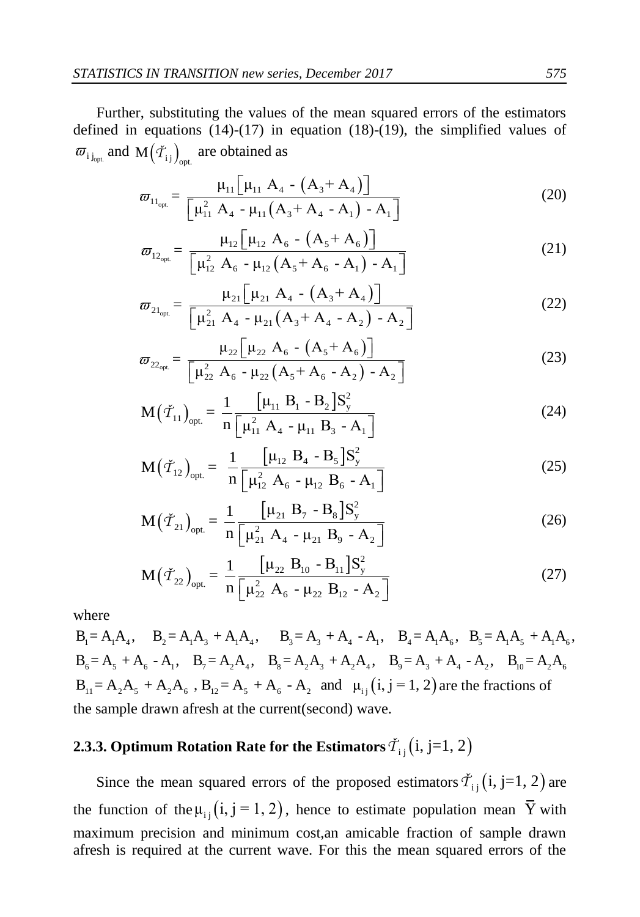Further, substituting the values of the mean squared errors of the estimators defined in equations (14)-(17) in equation (18)-(19), the simplified values of  $\overline{\omega}_{i j_{\text{opt.}}}$  and  $M(\check{\mathcal{T}}_{i j})_{\text{opt.}}$  are obtained as

$$
\varpi_{11_{\text{opt.}}} = \frac{\mu_{11} [\mu_{11} A_4 - (A_3 + A_4)]}{[\mu_{11}^2 A_4 - \mu_{11} (A_3 + A_4 - A_1) - A_1]}
$$
(20)

$$
\overline{\omega}_{12_{opt.}} = \frac{\mu_{12} [\mu_{12} A_6 - (A_5 + A_4) - A_1]}{[\mu_{12}^2 A_6 - \mu_{12} (A_5 + A_6) - A_1]}
$$
(21)

$$
\varpi_{21_{\text{opt}}} = \frac{\mu_{12} \left[ \mu_{21}^2 A_6 - \mu_{12} (A_5 + A_6 - A_1) - A_1 \right]}{\mu_{21} \left[ \mu_{21} A_4 - (A_3 + A_4) \right]}
$$
\n
$$
\varpi_{21_{\text{opt}}} = \frac{\mu_{21} \left[ \mu_{21} A_4 - (A_3 + A_4) \right]}{\left[ \mu_{21}^2 A_4 - \mu_{21} (A_3 + A_4 - A_2) - A_2 \right]}
$$
\n(22)

$$
\overline{\boldsymbol{\omega}}_{22_{\text{opt}}} = \frac{\mu_{21} \left[ A_3 + A_4 - A_2 \right] - A_2}{\left[ \mu_{22} \left[ \mu_{22} \right] A_6 - \left( A_5 + A_6 \right) \right]}
$$
\n
$$
\overline{\boldsymbol{\omega}}_{22_{\text{opt}}} = \frac{\mu_{22} \left[ \mu_{22} \right] A_6 - \mu_{22} \left( A_5 + A_6 - A_2 \right) - A_2 \right]}
$$
\n(23)

$$
\left[\mu_{22} A_6 - \mu_{22} (A_5 + A_6 - A_2) - A_2\right]
$$
  

$$
M(\tilde{\tau}_{11})_{opt.} = \frac{1}{n} \frac{\left[\mu_{11} B_1 - B_2\right] S_y^2}{\left[\mu_{11}^2 A_4 - \mu_{11} B_3 - A_1\right]}
$$
(24)

$$
M(\tilde{T}_{12})_{opt} = \frac{1}{n} \frac{\left[\mu_{12} B_4 - B_5\right] S_y^2}{\left[\mu_{12}^2 A_6 - \mu_{12} B_6 - A_1\right]}
$$
(25)

$$
M(\tilde{\mathcal{T}}_{21})_{opt.} = \frac{1}{n} \frac{\left[\mu_{21} B_7 - B_8\right] S_y^2}{\left[\mu_{21}^2 A_4 - \mu_{21} B_9 - A_2\right]}
$$
(26)

$$
M(\tilde{\mathcal{T}}_{22})_{opt.} = \frac{1}{n} \frac{\begin{bmatrix} \mu_{21} & A_4 & -\mu_{21} & B_9 & -A_2 \end{bmatrix}}{\begin{bmatrix} \mu_{22} & B_{10} & -B_{11} \end{bmatrix} S_y^2}
$$
\n
$$
(27)
$$

where

 $M(T_{22})_{opt.} = \frac{1}{n} \left[ \frac{2}{\mu_{22}^2} A_6 - \mu_{22} B_{12} - A_2 \right]$ <br>
where<br>  $B_1 = A_1 A_4, \quad B_2 = A_1 A_3 + A_1 A_4, \quad B_3 = A_3 + A_4 - A_1, \quad B_4 = A_1 A_6, \quad B_5 = A_1 A_5 + A_1 A_6,$ <br>  $B_6 = A_5 + A_6 - A_1, \quad B_7 = A_2 A_4, \quad B_8 = A_2 A_3 + A_2 A_4, \quad B_9 = A_3 + A_4 - A_2$ the sample drawn afresh at the current(second) wave.

## **2.3.3. Optimum Rotation Rate for the Estimators**  $\check{\mathcal{T}}_{\text{ij}}\big(\mathrm{i},\mathrm{j}{=}1,2\big)$

Since the mean squared errors of the proposed estimators  $\tilde{T}_{i,j}$  (i, j=1, 2) are the function of the  $\mu_{ij}$  (i, j = 1, 2), hence to estimate population mean Y with maximum precision and minimum cost,an amicable fraction of sample drawn afresh is required at the current wave. For this the mean squared errors of the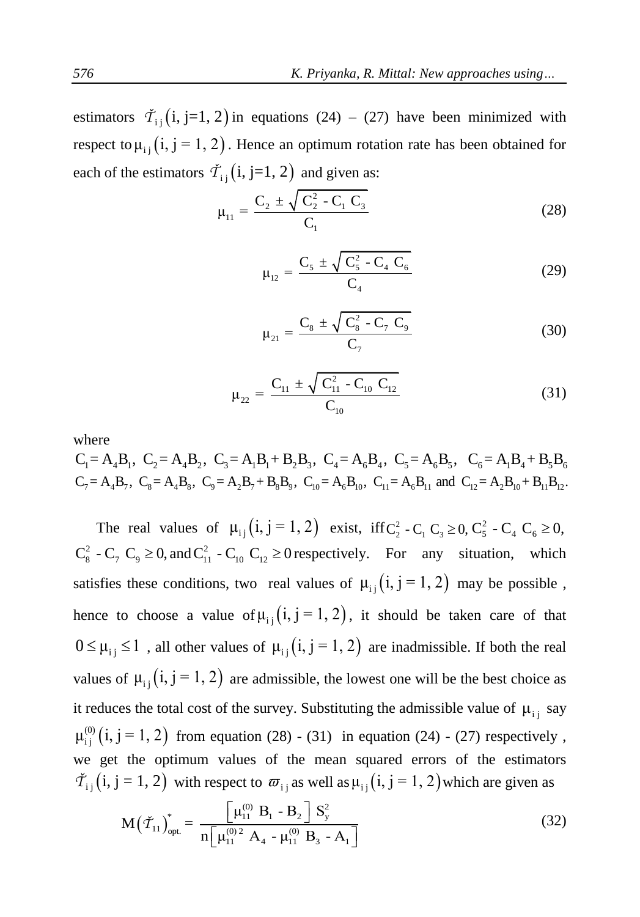estimators  $\tilde{T}_{ij}$  (i, j=1, 2) in equations (24) – (27) have been minimized with respect to  $\mu_{ij}$  (i, j = 1, 2). Hence an optimum rotation rate has been obtained for each of the estimators  $\check{\mathcal{T}}_{i,j}$  (i, j=1, 2) and given as:

$$
\mu_{11} = \frac{C_2 \pm \sqrt{C_2^2 - C_1 C_3}}{C_1}
$$
\n(28)

$$
\mu_{12} = \frac{C_5 \pm \sqrt{C_5^2 - C_4 C_6}}{C_4} \tag{29}
$$

$$
\mu_{21} = \frac{C_8 \pm \sqrt{C_8^2 - C_7 C_9}}{C_7}
$$
\n(30)

$$
\mu_{22} = \frac{C_{11} \pm \sqrt{C_{11}^2 - C_{10} C_{12}}}{C_{10}}
$$
\n(31)

where

 $C_1 = A_4B_1$ ,  $C_2 = A_4B_2$ ,  $C_3 = A_1B_1 + B_2B_3$ ,  $C_4 = A_6B_4$ ,  $C_5 = A_6B_5$ ,  $C_6 = A_1B_4 + B_5B_6$ <br>  $C_7 = A_4B_7$ ,  $C_8 = A_4B_8$ ,  $C_9 = A_2B_7 + B_8B_9$ ,  $C_{10} = A_6B_{10}$ ,  $C_{11} = A_6B_{11}$  and  $C_{12} = A_2B_{10} + B_{11}B_{12}$ .

The real values of  $\mu_{ij}$  (i, j = 1, 2) exist, iff  $C_2^2$  -  $C_1$   $C_3 \ge 0$ ,  $C_5^2$  -  $C_4$   $C_6 \ge 0$ ,  $C_8^2$  -  $C_7$   $C_9 \ge 0$ , and  $C_{11}^2$  -  $C_{10}$   $C_{12} \ge 0$  respectively. For any situation, which satisfies these conditions, two real values of  $\mu_{ij}$  (i, j = 1, 2) may be possible, hence to choose a value of  $\mu_{i,j}$  (i, j = 1, 2), it should be taken care of that  $0 \leq \mu_{i,j} \leq 1$ , all other values of  $\mu_{i,j}$  (i, j = 1, 2) are inadmissible. If both the real values of  $\mu_{ij}$  (i, j = 1, 2) are admissible, the lowest one will be the best choice as it reduces the total cost of the survey. Substituting the admissible value of  $\mu_{ij}$  say  $\mu_{i,j}^{(0)}(i, j = 1, 2)$  from equation (28) - (31) in equation (24) - (27) respectively, we get the optimum values of the mean squared errors of the estimators

$$
\tilde{\mathcal{T}}_{ij}(i, j = 1, 2) \text{ with respect to } \varpi_{ij} \text{ as well as } \mu_{ij}(i, j = 1, 2) \text{ which are given as}
$$
\n
$$
M(\tilde{\mathcal{T}}_{11})_{opt}^* = \frac{\left[\mu_{11}^{(0)} B_1 - B_2\right] S_y^2}{n \left[\mu_{11}^{(0)\,2} A_4 - \mu_{11}^{(0)} B_3 - A_1\right]}
$$
\n(32)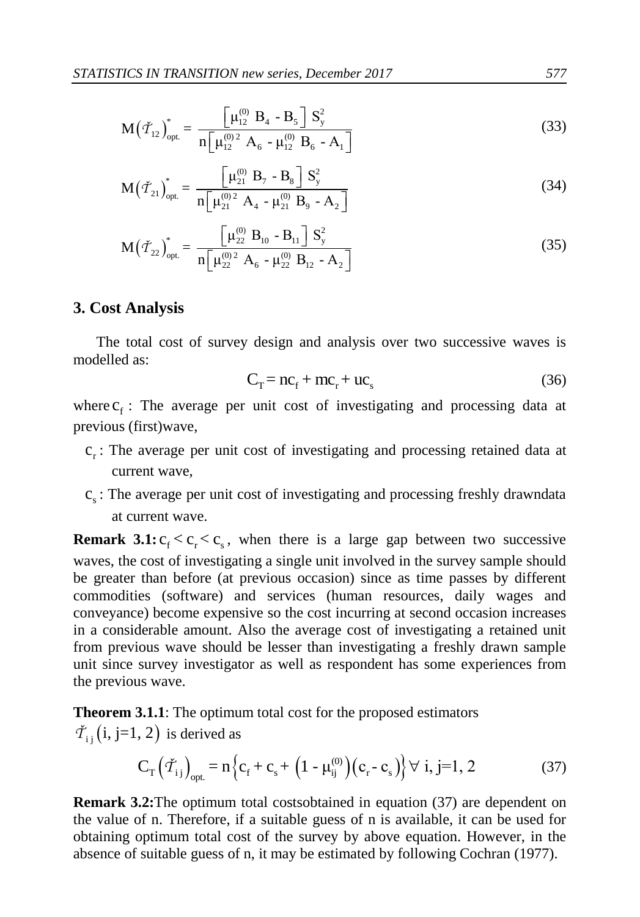$$
M(\tilde{T}_{12})_{opt.}^{*} = \frac{\left[\mu_{12}^{(0)} B_4 - B_5\right] S_y^2}{n \left[\mu_{12}^{(0)2} A_6 - \mu_{12}^{(0)} B_6 - A_1\right]}
$$
(33)

$$
M(\check{\mathcal{T}}_{21})_{opt.}^* = \frac{\begin{bmatrix} \mu_{21}^{(0)} & B_7 - B_8 \end{bmatrix} S_y^2}{n \begin{bmatrix} \mu_{21}^{(0)} & A_4 - \mu_{21}^{(0)} \end{bmatrix} B_9 - A_2}
$$
(34)

$$
M(\check{\mathcal{T}}_{22})_{opt.}^* = \frac{\left[\mu_{22}^{(0)} B_{10} - B_{11}\right] S_y^2}{n \left[\mu_{22}^{(0)2} A_6 - \mu_{22}^{(0)} B_{12} - A_2\right]}
$$
(35)

#### **3. Cost Analysis**

The total cost of survey design and analysis over two successive waves is modelled as:

$$
C_T = nc_f + mc_r + uc_s
$$
 (36)

where  $c_f$ : The average per unit cost of investigating and processing data at previous (first)wave,

- c<sub>r</sub>: The average per unit cost of investigating and processing retained data at current wave,
- c<sub>s</sub>: The average per unit cost of investigating and processing freshly drawndata at current wave.

**Remark 3.1:**  $c_f < c_s$ , when there is a large gap between two successive waves, the cost of investigating a single unit involved in the survey sample should be greater than before (at previous occasion) since as time passes by different commodities (software) and services (human resources, daily wages and conveyance) become expensive so the cost incurring at second occasion increases in a considerable amount. Also the average cost of investigating a retained unit from previous wave should be lesser than investigating a freshly drawn sample unit since survey investigator as well as respondent has some experiences from the previous wave.

**Theorem 3.1.1**: The optimum total cost for the proposed estimators  $\check{\mathcal{T}}_{ij}$  (i, j=1, 2) is derived as

, 2) is derived as  
\n
$$
C_{T}(\tilde{\mathcal{T}}_{ij})_{opt} = n \{c_{f} + c_{s} + (1 - \mu_{ij}^{(0)}) (c_{r} - c_{s})\} \forall i, j=1, 2
$$
\n(37)

**Remark 3.2:** The optimum total costsobtained in equation (37) are dependent on the value of n. Therefore, if a suitable guess of n is available, it can be used for obtaining optimum total cost of the survey by above equation. However, in the absence of suitable guess of n, it may be estimated by following Cochran (1977).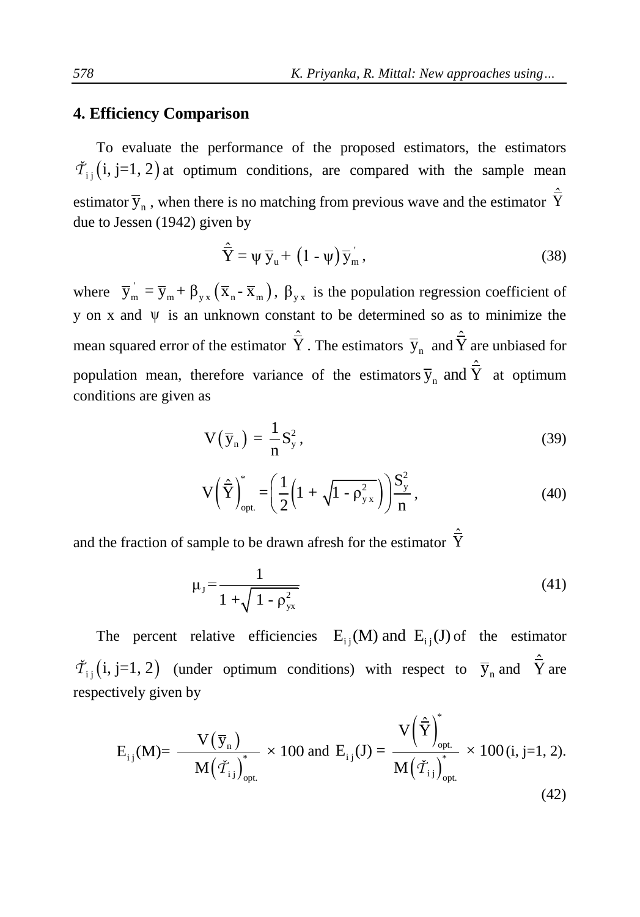## **4. Efficiency Comparison**

To evaluate the performance of the proposed estimators, the estimators  $\tilde{T}_{ij}$  (i, j=1, 2) at optimum conditions, are compared with the sample mean estimator  $\bar{y}_n$ , when there is no matching from previous wave and the estimator  $\hat{\bar{Y}}$ due to Jessen (1942) given by

$$
\hat{\overline{Y}} = \psi \, \overline{y}_u + (1 - \psi) \overline{y}_m \,, \tag{38}
$$

where  $\overline{y}_m = \overline{y}_m + \beta_{yx} (\overline{x}_n - \overline{x}_m)$ ,  $\beta_{yx}$  is the population regression coefficient of  $y$  on x and  $\psi$  is an unknown constant to be determined so as to minimize the mean squared error of the estimator  $\hat{\vec{Y}}$ . The estimators  $\bar{y}_n$  and  $\hat{\vec{Y}}$  are unbiased for population mean, therefore variance of the estimators  $\bar{y}_n$  and  $\hat{\bar{Y}}$  at optimum conditions are given as

$$
V(\overline{y}_n) = \frac{1}{n} S_y^2,
$$
\n(39)

$$
V\left(\hat{\overline{Y}}\right)_{opt.}^{*} = \left(\frac{1}{2}\left(1 + \sqrt{1 - \rho_{yx}^{2}}\right)\right)\frac{S_{y}^{2}}{n},\tag{40}
$$

and the fraction of sample to be drawn afresh for the estimator  $\hat{\overline{Y}}$ 

$$
\mu_{J} = \frac{1}{1 + \sqrt{1 - \rho_{yx}^{2}}}
$$
\n(41)

The percent relative efficiencies  $E_{ij}(M)$  and  $E_{ij}(J)$  of the estimator  $\tilde{T}_{ij}$  (i, j=1, 2) (under optimum conditions) with respect to  $\bar{y}_n$  and  $\hat{\bar{Y}}$  are respectively given by

$$
E_{i\,j}(M)\!\!=\frac{V\!\left(\, \overline{y}_{n}\,\right)}{M\!\left(\,\check{\boldsymbol{T}}_{i\,j}\,\right)_{\text{opt.}}}\times 100\text{ and }E_{i\,j}(J)\!=\frac{V\!\left(\hat{\overline{Y}}\right)_{\text{opt.}}^*}{M\!\left(\,\check{\boldsymbol{T}}_{i\,j}\,\right)_{\text{opt.}}^*}\times 100\,\text{(i, j=1, 2).}\tag{42}
$$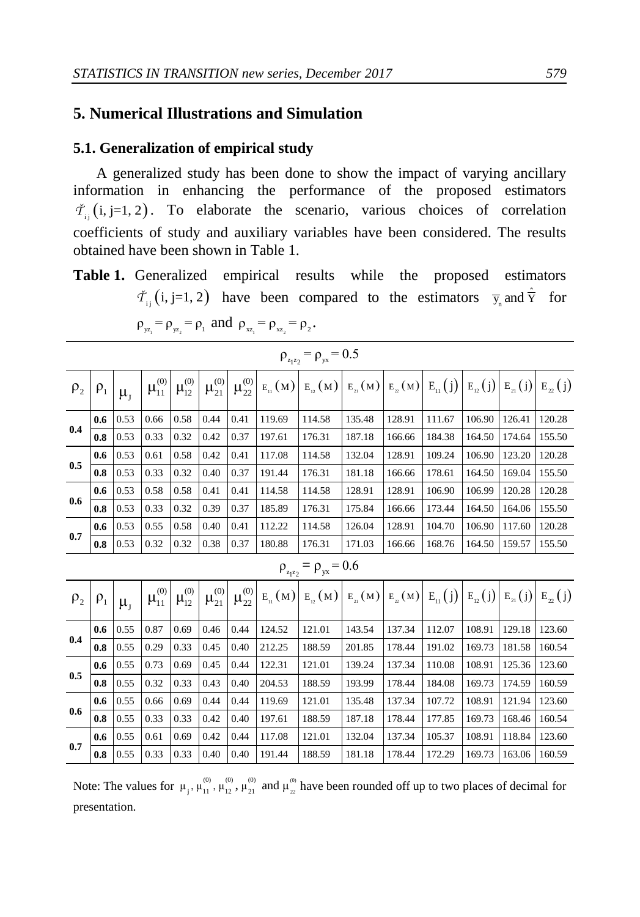## **5. Numerical Illustrations and Simulation**

#### **5.1. Generalization of empirical study**

A generalized study has been done to show the impact of varying ancillary information in enhancing the performance of the proposed estimators  $\check{T}_{i}$  (i, j=1, 2). To elaborate the scenario, various choices of correlation coefficients of study and auxiliary variables have been considered. The results obtained have been shown in Table 1.

Table 1. Generalized empirical results while the proposed estimators  $\check{T}_{ij}$  (i, j=1, 2) have been compared to the estimators  $\bar{y}_n$  and  $\hat{\bar{y}}$  for  $\rho_{yz_1} = \rho_{yz_2} = \rho_1$  and  $\rho_{xz_1} = \rho_{xz_2} = \rho_2$ .

|          | $\rho_{z_1 z_2} = \rho_{yx} = 0.5$ |               |      |      |                                                                                      |      |        |                                                                                                       |        |        |        |        |        |        |
|----------|------------------------------------|---------------|------|------|--------------------------------------------------------------------------------------|------|--------|-------------------------------------------------------------------------------------------------------|--------|--------|--------|--------|--------|--------|
| $\rho_2$ | $\rho_1$                           | $\mu_{\rm J}$ |      |      | $\mu_{11}^{(0)}\left \mu_{12}^{(0)}\right \mu_{21}^{(0)}\left \mu_{22}^{(0)}\right $ |      |        | $E_{n} (M) E_{n} (M) E_{n} (M) E_{n} (M) E_{n} (M) E_{n} (j) E_{n} (j) E_{n} (j) E_{n} (j) E_{n} (j)$ |        |        |        |        |        |        |
|          | 0.6                                | 0.53          | 0.66 | 0.58 | 0.44                                                                                 | 0.41 | 119.69 | 114.58                                                                                                | 135.48 | 128.91 | 111.67 | 106.90 | 126.41 | 120.28 |
| 0.4      | 0.8                                | 0.53          | 0.33 | 0.32 | 0.42                                                                                 | 0.37 | 197.61 | 176.31                                                                                                | 187.18 | 166.66 | 184.38 | 164.50 | 174.64 | 155.50 |
|          | 0.6                                | 0.53          | 0.61 | 0.58 | 0.42                                                                                 | 0.41 | 117.08 | 114.58                                                                                                | 132.04 | 128.91 | 109.24 | 106.90 | 123.20 | 120.28 |
| 0.5      | 0.8                                | 0.53          | 0.33 | 0.32 | 0.40                                                                                 | 0.37 | 191.44 | 176.31                                                                                                | 181.18 | 166.66 | 178.61 | 164.50 | 169.04 | 155.50 |
|          | 0.6                                | 0.53          | 0.58 | 0.58 | 0.41                                                                                 | 0.41 | 114.58 | 114.58                                                                                                | 128.91 | 128.91 | 106.90 | 106.99 | 120.28 | 120.28 |
| 0.6      | 0.8                                | 0.53          | 0.33 | 0.32 | 0.39                                                                                 | 0.37 | 185.89 | 176.31                                                                                                | 175.84 | 166.66 | 173.44 | 164.50 | 164.06 | 155.50 |
|          | 0.6                                | 0.53          | 0.55 | 0.58 | 0.40                                                                                 | 0.41 | 112.22 | 114.58                                                                                                | 126.04 | 128.91 | 104.70 | 106.90 | 117.60 | 120.28 |
| 0.7      | 0.8                                | 0.53          | 0.32 | 0.32 | 0.38                                                                                 | 0.37 | 180.88 | 176.31                                                                                                | 171.03 | 166.66 | 168.76 | 164.50 | 159.57 | 155.50 |
|          |                                    |               |      |      |                                                                                      |      |        |                                                                                                       |        |        |        |        |        |        |

## $\rho_{z_1 z_2} = \rho_{yx} = 0.6$

| P <sub>2</sub> | $\rho_1$ | $\mu_{\rm r}$ |      |      | $\mu_{11}^{(0)}\left \mu_{12}^{(0)}\right \mu_{21}^{(0)}$ |      |        | $\mu_{22}^{(0)}\left E_{11}(M)\right E_{12}(M)\left E_{21}(M)\right E_{22}(M)\left E_{11}(j)\right E_{12}(j)\left E_{21}(j)\right E_{22}(j)$ |        |        |        |        |        |        |
|----------------|----------|---------------|------|------|-----------------------------------------------------------|------|--------|----------------------------------------------------------------------------------------------------------------------------------------------|--------|--------|--------|--------|--------|--------|
|                | 0.6      | 0.55          | 0.87 | 0.69 | 0.46                                                      | 0.44 | 124.52 | 121.01                                                                                                                                       | 143.54 | 137.34 | 112.07 | 108.91 | 129.18 | 123.60 |
| 0.4            | 0.8      | 0.55          | 0.29 | 0.33 | 0.45                                                      | 0.40 | 212.25 | 188.59                                                                                                                                       | 201.85 | 178.44 | 191.02 | 169.73 | 181.58 | 160.54 |
| 0.5            | 0.6      | 0.55          | 0.73 | 0.69 | 0.45                                                      | 0.44 | 122.31 | 121.01                                                                                                                                       | 139.24 | 137.34 | 110.08 | 108.91 | 125.36 | 123.60 |
|                | 0.8      | 0.55          | 0.32 | 0.33 | 0.43                                                      | 0.40 | 204.53 | 188.59                                                                                                                                       | 193.99 | 178.44 | 184.08 | 169.73 | 174.59 | 160.59 |
|                | 0.6      | 0.55          | 0.66 | 0.69 | 0.44                                                      | 0.44 | 119.69 | 121.01                                                                                                                                       | 135.48 | 137.34 | 107.72 | 108.91 | 121.94 | 123.60 |
| 0.6            | 0.8      | 0.55          | 0.33 | 0.33 | 0.42                                                      | 0.40 | 197.61 | 188.59                                                                                                                                       | 187.18 | 178.44 | 177.85 | 169.73 | 168.46 | 160.54 |
| 0.7            | 0.6      | 0.55          | 0.61 | 0.69 | 0.42                                                      | 0.44 | 117.08 | 121.01                                                                                                                                       | 132.04 | 137.34 | 105.37 | 108.91 | 118.84 | 123.60 |
|                | 0.8      | 0.55          | 0.33 | 0.33 | 0.40                                                      | 0.40 | 191.44 | 188.59                                                                                                                                       | 181.18 | 178.44 | 172.29 | 169.73 | 163.06 | 160.59 |

Note: The values for  $\mu_1, \mu_1^{(0)}, \mu_2^{(0)}, \mu_2^{(0)}$  and  $\mu_2^{(0)}$  $\mu_1$ ,  $\mu_{11}^{(0)}$ ,  $\mu_{12}^{(0)}$ ,  $\mu_{21}^{(0)}$  and  $\mu_{22}^{(0)}$  have been rounded off up to two places of decimal for presentation.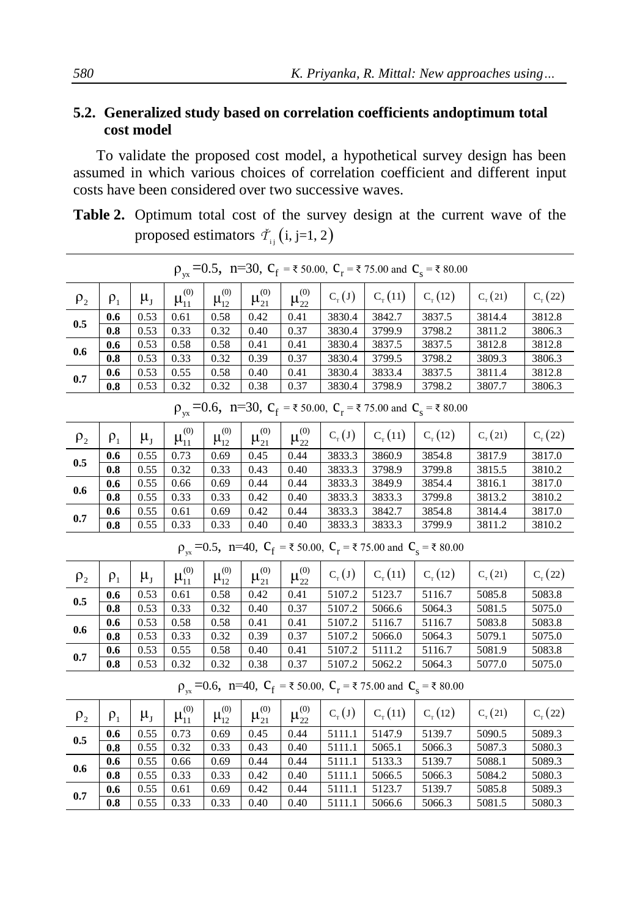## **5.2. Generalized study based on correlation coefficients andoptimum total cost model**

To validate the proposed cost model, a hypothetical survey design has been assumed in which various choices of correlation coefficient and different input costs have been considered over two successive waves.

**Table 2.** Optimum total cost of the survey design at the current wave of the proposed estimators  $\check{\tau}_{ij}$  (i, j=1, 2)

|                                                                              | $\rho_{yx}$ =0.5, n=30, $C_f$ = ₹ 50.00, $C_r$ = ₹ 75.00 and $C_s$ = ₹ 80.00 |           |                  |                  |                  |                  |            |                 |                                                                              |                 |                  |  |  |  |
|------------------------------------------------------------------------------|------------------------------------------------------------------------------|-----------|------------------|------------------|------------------|------------------|------------|-----------------|------------------------------------------------------------------------------|-----------------|------------------|--|--|--|
| $\rho_2$                                                                     | $P_1$                                                                        | $\mu_{J}$ | $\mu_{11}^{(0)}$ | $\mu_{12}^{(0)}$ | $\mu_{21}^{(0)}$ | $\mu_{22}^{(0)}$ | $C_{T}(J)$ | $C_{\rm r}(11)$ | $C_{\rm T}$ (12)                                                             | $C_{\tau}(21)$  | $C_{\rm T}$ (22) |  |  |  |
|                                                                              | 0.6                                                                          | 0.53      | 0.61             | 0.58             | 0.42             | 0.41             | 3830.4     | 3842.7          | 3837.5                                                                       | 3814.4          | 3812.8           |  |  |  |
| 0.5                                                                          | 0.8                                                                          | 0.53      | 0.33             | 0.32             | 0.40             | 0.37             | 3830.4     | 3799.9          | 3798.2                                                                       | 3811.2          | 3806.3           |  |  |  |
|                                                                              | 0.6                                                                          | 0.53      | 0.58             | 0.58             | 0.41             | 0.41             | 3830.4     | 3837.5          | 3837.5                                                                       | 3812.8          | 3812.8           |  |  |  |
| 0.6                                                                          | 0.8                                                                          | 0.53      | 0.33             | 0.32             | 0.39             | 0.37             | 3830.4     | 3799.5          | 3798.2                                                                       | 3809.3          | 3806.3           |  |  |  |
|                                                                              | 0.6                                                                          | 0.53      | 0.55             | 0.58             | 0.40             | 0.41             | 3830.4     | 3833.4          | 3837.5                                                                       | 3811.4          | 3812.8           |  |  |  |
| $0.7\,$                                                                      | 0.8                                                                          | 0.53      | 0.32             | 0.32             | 0.38             | 0.37             | 3830.4     | 3798.9          | 3798.2                                                                       | 3807.7          | 3806.3           |  |  |  |
| $\rho_{yx}$ =0.6, n=30, $C_f$ = ₹ 50.00, $C_r$ = ₹ 75.00 and $C_s$ = ₹ 80.00 |                                                                              |           |                  |                  |                  |                  |            |                 |                                                                              |                 |                  |  |  |  |
| $\rho_2$                                                                     | $\rho_1$                                                                     | $\mu_{J}$ | $\mu_{11}^{(0)}$ | $\mu_{12}^{(0)}$ | $\mu_{21}^{(0)}$ | $\mu_{22}^{(0)}$ | $C_T(T)$   | $C_{\tau}(11)$  | $C_{\rm T}$ (12)                                                             | $C_{\rm r}(21)$ | $C_{\rm T} (22)$ |  |  |  |
| 0.5                                                                          | 0.6                                                                          | 0.55      | 0.73             | 0.69             | 0.45             | 0.44             | 3833.3     | 3860.9          | 3854.8                                                                       | 3817.9          | 3817.0           |  |  |  |
|                                                                              | 0.8                                                                          | 0.55      | 0.32             | 0.33             | 0.43             | 0.40             | 3833.3     | 3798.9          | 3799.8                                                                       | 3815.5          | 3810.2           |  |  |  |
| 0.6                                                                          | 0.6                                                                          | 0.55      | 0.66             | 0.69             | 0.44             | 0.44             | 3833.3     | 3849.9          | 3854.4                                                                       | 3816.1          | 3817.0           |  |  |  |
|                                                                              | 0.8                                                                          | 0.55      | 0.33             | 0.33             | 0.42             | 0.40             | 3833.3     | 3833.3          | 3799.8                                                                       | 3813.2          | 3810.2           |  |  |  |
| 0.7                                                                          | 0.6                                                                          | 0.55      | 0.61             | 0.69             | 0.42             | 0.44             | 3833.3     | 3842.7          | 3854.8                                                                       | 3814.4          | 3817.0           |  |  |  |
|                                                                              | 0.8                                                                          | 0.55      | 0.33             | 0.33             | 0.40             | 0.40             | 3833.3     | 3833.3          | 3799.9                                                                       | 3811.2          | 3810.2           |  |  |  |
| $\rho_{vx}$ =0.5, n=40, $C_f$ = ₹ 50.00, $C_r$ = ₹ 75.00 and $C_s$ = ₹ 80.00 |                                                                              |           |                  |                  |                  |                  |            |                 |                                                                              |                 |                  |  |  |  |
| $\rho_{2}$                                                                   | $P_1$                                                                        | $\mu_{J}$ | $\mu_{11}^{(0)}$ | $\mu_{12}^{(0)}$ | $\mu_{21}^{(0)}$ | $\mu_{22}^{(0)}$ | $C_{T}(J)$ | $C_{\tau}(11)$  | $C_{\rm T}$ (12)                                                             | $C_{\rm r}(21)$ | $C_{\rm T} (22)$ |  |  |  |
| 0.5                                                                          | 0.6                                                                          | 0.53      | 0.61             | 0.58             | 0.42             | 0.41             | 5107.2     | 5123.7          | 5116.7                                                                       | 5085.8          | 5083.8           |  |  |  |
|                                                                              | 0.8                                                                          | 0.53      | 0.33             | 0.32             | 0.40             | 0.37             | 5107.2     | 5066.6          | 5064.3                                                                       | 5081.5          | 5075.0           |  |  |  |
| 0.6                                                                          | 0.6                                                                          | 0.53      | 0.58             | 0.58             | 0.41             | 0.41             | 5107.2     | 5116.7          | 5116.7                                                                       | 5083.8          | 5083.8           |  |  |  |
|                                                                              | 0.8                                                                          | 0.53      | 0.33             | 0.32             | 0.39             | 0.37             | 5107.2     | 5066.0          | 5064.3                                                                       | 5079.1          | 5075.0           |  |  |  |
| 0.7                                                                          | 0.6                                                                          | 0.53      | 0.55             | 0.58             | 0.40             | 0.41             | 5107.2     | 5111.2          | 5116.7                                                                       | 5081.9          | 5083.8           |  |  |  |
|                                                                              | 0.8                                                                          | 0.53      | 0.32             | 0.32             | 0.38             | 0.37             | 5107.2     | 5062.2          | 5064.3                                                                       | 5077.0          | 5075.0           |  |  |  |
|                                                                              |                                                                              |           |                  |                  |                  |                  |            |                 | $\rho_{yx}$ =0.6, n=40, $C_f$ = ₹ 50.00, $C_r$ = ₹ 75.00 and $C_s$ = ₹ 80.00 |                 |                  |  |  |  |
| $\rho_2$                                                                     | $P_1$                                                                        | $\mu_{J}$ | $\mu_{11}^{(0)}$ | $\mu_{12}^{(0)}$ | $\mu_{21}^{(0)}$ | $\mu_{22}^{(0)}$ | $C_{T}(J)$ | $C_{\rm r}(11)$ | $C_{\rm T}$ (12)                                                             | $C_{\tau}(21)$  | $C_{\rm T}$ (22) |  |  |  |
| 0.5                                                                          | 0.6                                                                          | 0.55      | 0.73             | 0.69             | 0.45             | 0.44             | 5111.1     | 5147.9          | 5139.7                                                                       | 5090.5          | 5089.3           |  |  |  |
|                                                                              | 0.8                                                                          | 0.55      | 0.32             | 0.33             | 0.43             | 0.40             | 5111.1     | 5065.1          | 5066.3                                                                       | 5087.3          | 5080.3           |  |  |  |
| 0.6                                                                          | 0.6                                                                          | 0.55      | 0.66             | 0.69             | 0.44             | 0.44             | 5111.1     | 5133.3          | 5139.7                                                                       | 5088.1          | 5089.3           |  |  |  |
|                                                                              | 0.8                                                                          | 0.55      | 0.33             | 0.33             | 0.42             | 0.40             | 5111.1     | 5066.5          | 5066.3                                                                       | 5084.2          | 5080.3           |  |  |  |
| 0.7                                                                          | 0.6                                                                          | 0.55      | 0.61             | 0.69             | 0.42             | 0.44             | 5111.1     | 5123.7          | 5139.7                                                                       | 5085.8          | 5089.3           |  |  |  |
|                                                                              | 0.8                                                                          | 0.55      | 0.33             | 0.33             | 0.40             | 0.40             | 5111.1     | 5066.6          | 5066.3                                                                       | 5081.5          | 5080.3           |  |  |  |
|                                                                              |                                                                              |           |                  |                  |                  |                  |            |                 |                                                                              |                 |                  |  |  |  |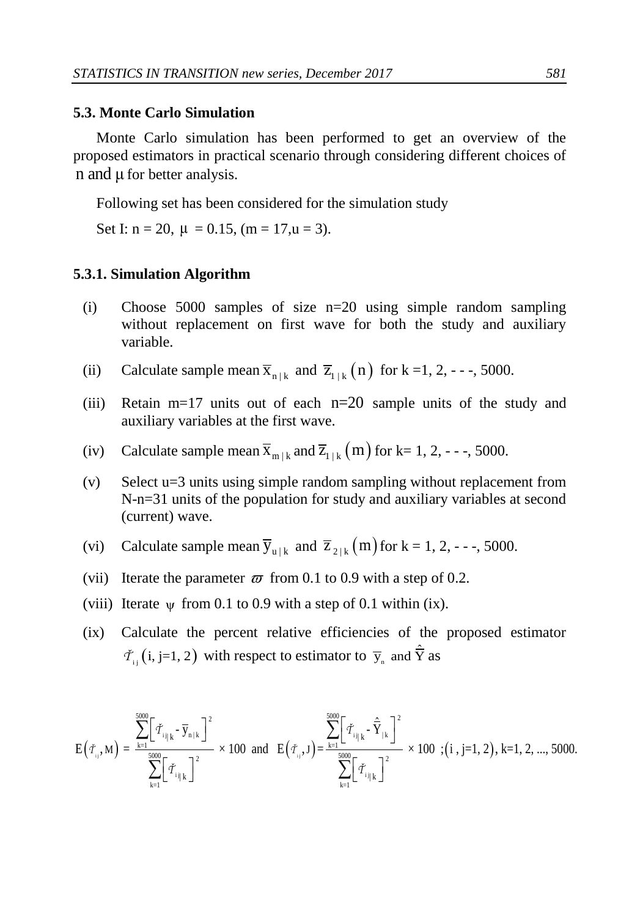#### **5.3. Monte Carlo Simulation**

Monte Carlo simulation has been performed to get an overview of the proposed estimators in practical scenario through considering different choices of n and μ for better analysis.

Following set has been considered for the simulation study

Set I:  $n = 20$ ,  $\mu = 0.15$ ,  $(m = 17, u = 3)$ .

#### **5.3.1. Simulation Algorithm**

- (i) Choose 5000 samples of size n=20 using simple random sampling without replacement on first wave for both the study and auxiliary variable.
- (ii) Calculate sample mean  $\overline{x}_{n+k}$  and  $\overline{z}_{1+k}(n)$  for k =1, 2, - -, 5000.
- (iii) Retain m=17 units out of each n=20 sample units of the study and auxiliary variables at the first wave.
- (iv) Calculate sample mean  $\bar{x}_{m+k}$  and  $\bar{z}_{1+k}(m)$  for k= 1, 2, - -, 5000.
- (v) Select u=3 units using simple random sampling without replacement from N-n=31 units of the population for study and auxiliary variables at second (current) wave.
- (vi) Calculate sample mean  $\overline{y}_{u|k}$  and  $\overline{z}_{2|k}(m)$  for  $k = 1, 2, -1, 5000$ .
- (vii) Iterate the parameter  $\bar{\omega}$  from 0.1 to 0.9 with a step of 0.2.
- (viii) Iterate  $\psi$  from 0.1 to 0.9 with a step of 0.1 within (ix).
- (ix) Calculate the percent relative efficiencies of the proposed estimator

$$
\tilde{\tau}_{i,j}(i, j=1, 2) \text{ with respect to estimator to } \overline{y}_{n} \text{ and } \hat{\overline{Y}} \text{ as}
$$
\n
$$
E(\tilde{\tau}_{i,j,M}) = \frac{\sum_{k=1}^{5000} [\tilde{\tau}_{i,j,k} - \overline{y}_{n,k}]^{2}}{\sum_{k=1}^{5000} [\tilde{\tau}_{i,j,k}]^{2}} \times 100 \text{ and } E(\tilde{\tau}_{i,j,J}) = \frac{\sum_{k=1}^{5000} [\tilde{\tau}_{i,j,k} - \hat{\overline{Y}}_{n,k}]^{2}}{\sum_{k=1}^{5000} [\tilde{\tau}_{i,j,k}]^{2}} \times 100 ; (i, j=1, 2), k=1, 2, ..., 5000.
$$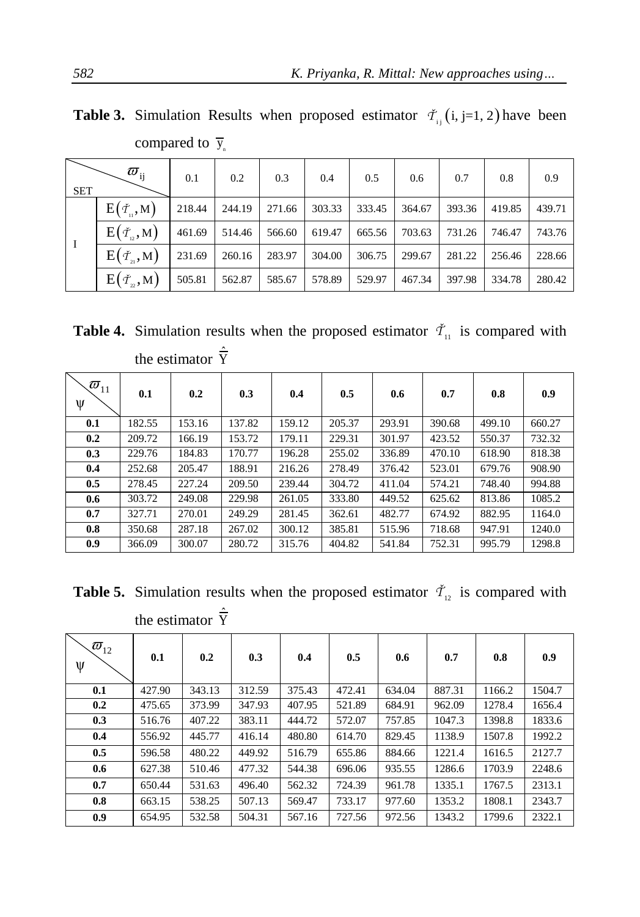| <b>SET</b> | $\varpi_{\rm ij}$                            | 0.1    | 0.2    | 0.3    | 0.4    | 0.5    | 0.6    | 0.7    | 0.8    | 0.9    |
|------------|----------------------------------------------|--------|--------|--------|--------|--------|--------|--------|--------|--------|
|            | $E(\check{\tau}_n,M)$                        | 218.44 | 244.19 | 271.66 | 303.33 | 333.45 | 364.67 | 393.36 | 419.85 | 439.71 |
|            | $E(\check{\tau}_n,M)$                        | 461.69 | 514.46 | 566.60 | 619.47 | 665.56 | 703.63 | 731.26 | 746.47 | 743.76 |
| - I        | $E(\check{\tau}_{\scriptscriptstyle{21}},M)$ | 231.69 | 260.16 | 283.97 | 304.00 | 306.75 | 299.67 | 281.22 | 256.46 | 228.66 |
|            | $E(\check{\tau}_n,M)$                        | 505.81 | 562.87 | 585.67 | 578.89 | 529.97 | 467.34 | 397.98 | 334.78 | 280.42 |

**Table 3.** Simulation Results when proposed estimator  $\tilde{\tau}_{ij}$  (i, j=1, 2) have been compared to  $\bar{y}_n$ 

**Table 4.** Simulation results when the proposed estimator  $\tilde{\tau}_{11}$  is compared with the estimator  $\hat{\overline{Y}}$ 

| $\overline{\omega}_{\scriptscriptstyle 11}$<br>ψ | 0.1    | 0.2    | 0.3    | 0.4    | 0.5    | 0.6    | 0.7    | 0.8    | 0.9    |
|--------------------------------------------------|--------|--------|--------|--------|--------|--------|--------|--------|--------|
| 0.1                                              | 182.55 | 153.16 | 137.82 | 159.12 | 205.37 | 293.91 | 390.68 | 499.10 | 660.27 |
| 0.2                                              | 209.72 | 166.19 | 153.72 | 179.11 | 229.31 | 301.97 | 423.52 | 550.37 | 732.32 |
| 0.3                                              | 229.76 | 184.83 | 170.77 | 196.28 | 255.02 | 336.89 | 470.10 | 618.90 | 818.38 |
| 0.4                                              | 252.68 | 205.47 | 188.91 | 216.26 | 278.49 | 376.42 | 523.01 | 679.76 | 908.90 |
| 0.5                                              | 278.45 | 227.24 | 209.50 | 239.44 | 304.72 | 411.04 | 574.21 | 748.40 | 994.88 |
| 0.6                                              | 303.72 | 249.08 | 229.98 | 261.05 | 333.80 | 449.52 | 625.62 | 813.86 | 1085.2 |
| 0.7                                              | 327.71 | 270.01 | 249.29 | 281.45 | 362.61 | 482.77 | 674.92 | 882.95 | 1164.0 |
| 0.8                                              | 350.68 | 287.18 | 267.02 | 300.12 | 385.81 | 515.96 | 718.68 | 947.91 | 1240.0 |
| 0.9                                              | 366.09 | 300.07 | 280.72 | 315.76 | 404.82 | 541.84 | 752.31 | 995.79 | 1298.8 |

**Table 5.** Simulation results when the proposed estimator  $\tilde{\tau}_{12}$  is compared with the estimator  $\hat{\overline{Y}}$ 

| $\varpi_{12}$<br>Ψ | 0.1    | 0.2    | 0.3    | 0.4    | 0.5    | 0.6    | 0.7    | 0.8    | 0.9    |
|--------------------|--------|--------|--------|--------|--------|--------|--------|--------|--------|
| 0.1                | 427.90 | 343.13 | 312.59 | 375.43 | 472.41 | 634.04 | 887.31 | 1166.2 | 1504.7 |
| 0.2                | 475.65 | 373.99 | 347.93 | 407.95 | 521.89 | 684.91 | 962.09 | 1278.4 | 1656.4 |
| 0.3                | 516.76 | 407.22 | 383.11 | 444.72 | 572.07 | 757.85 | 1047.3 | 1398.8 | 1833.6 |
| 0.4                | 556.92 | 445.77 | 416.14 | 480.80 | 614.70 | 829.45 | 1138.9 | 1507.8 | 1992.2 |
| 0.5                | 596.58 | 480.22 | 449.92 | 516.79 | 655.86 | 884.66 | 1221.4 | 1616.5 | 2127.7 |
| 0.6                | 627.38 | 510.46 | 477.32 | 544.38 | 696.06 | 935.55 | 1286.6 | 1703.9 | 2248.6 |
| 0.7                | 650.44 | 531.63 | 496.40 | 562.32 | 724.39 | 961.78 | 1335.1 | 1767.5 | 2313.1 |
| 0.8                | 663.15 | 538.25 | 507.13 | 569.47 | 733.17 | 977.60 | 1353.2 | 1808.1 | 2343.7 |
| 0.9                | 654.95 | 532.58 | 504.31 | 567.16 | 727.56 | 972.56 | 1343.2 | 1799.6 | 2322.1 |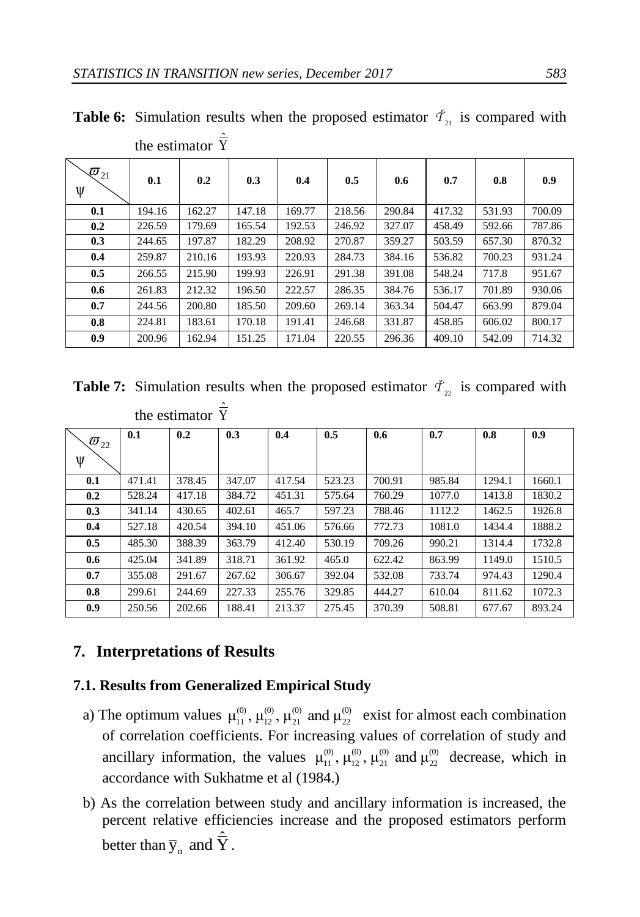|                                         | $\cdots$ |        |        |        |        |        |        |        |        |
|-----------------------------------------|----------|--------|--------|--------|--------|--------|--------|--------|--------|
| $\overline{\mathbf{\varPhi}}_{21}$<br>ψ | 0.1      | 0.2    | 0.3    | 0.4    | 0.5    | 0.6    | 0.7    | 0.8    | 0.9    |
| 0.1                                     | 194.16   | 162.27 | 147.18 | 169.77 | 218.56 | 290.84 | 417.32 | 531.93 | 700.09 |
| 0.2                                     | 226.59   | 179.69 | 165.54 | 192.53 | 246.92 | 327.07 | 458.49 | 592.66 | 787.86 |
| 0.3                                     | 244.65   | 197.87 | 182.29 | 208.92 | 270.87 | 359.27 | 503.59 | 657.30 | 870.32 |
| 0.4                                     | 259.87   | 210.16 | 193.93 | 220.93 | 284.73 | 384.16 | 536.82 | 700.23 | 931.24 |
| 0.5                                     | 266.55   | 215.90 | 199.93 | 226.91 | 291.38 | 391.08 | 548.24 | 717.8  | 951.67 |
| 0.6                                     | 261.83   | 212.32 | 196.50 | 222.57 | 286.35 | 384.76 | 536.17 | 701.89 | 930.06 |
| 0.7                                     | 244.56   | 200.80 | 185.50 | 209.60 | 269.14 | 363.34 | 504.47 | 663.99 | 879.04 |
| 0.8                                     | 224.81   | 183.61 | 170.18 | 191.41 | 246.68 | 331.87 | 458.85 | 606.02 | 800.17 |
| 0.9                                     | 200.96   | 162.94 | 151.25 | 171.04 | 220.55 | 296.36 | 409.10 | 542.09 | 714.32 |

**Table 6:** Simulation results when the proposed estimator  $\tilde{\tau}_{21}$  is compared with the estimator  $\hat{\overline{Y}}$ 

**Table 7:** Simulation results when the proposed estimator  $\tilde{\tau}_{2i}$  is compared with the estimator  $\hat{\overline{Y}}$ 

| $\varpi_{_{22}}$<br>ψ | 0.1    | 0.2    | 0.3    | 0.4    | 0.5    | 0.6    | 0.7    | 0.8    | 0.9    |
|-----------------------|--------|--------|--------|--------|--------|--------|--------|--------|--------|
| 0.1                   | 471.41 | 378.45 | 347.07 | 417.54 | 523.23 | 700.91 | 985.84 | 1294.1 | 1660.1 |
| 0.2                   | 528.24 | 417.18 | 384.72 | 451.31 | 575.64 | 760.29 | 1077.0 | 1413.8 | 1830.2 |
| 0.3                   | 341.14 | 430.65 | 402.61 | 465.7  | 597.23 | 788.46 | 1112.2 | 1462.5 | 1926.8 |
| 0.4                   | 527.18 | 420.54 | 394.10 | 451.06 | 576.66 | 772.73 | 1081.0 | 1434.4 | 1888.2 |
| 0.5                   | 485.30 | 388.39 | 363.79 | 412.40 | 530.19 | 709.26 | 990.21 | 1314.4 | 1732.8 |
| 0.6                   | 425.04 | 341.89 | 318.71 | 361.92 | 465.0  | 622.42 | 863.99 | 1149.0 | 1510.5 |
| 0.7                   | 355.08 | 291.67 | 267.62 | 306.67 | 392.04 | 532.08 | 733.74 | 974.43 | 1290.4 |
| 0.8                   | 299.61 | 244.69 | 227.33 | 255.76 | 329.85 | 444.27 | 610.04 | 811.62 | 1072.3 |
| 0.9                   | 250.56 | 202.66 | 188.41 | 213.37 | 275.45 | 370.39 | 508.81 | 677.67 | 893.24 |

### **7. Interpretations of Results**

#### **7.1. Results from Generalized Empirical Study**

- a) The optimum values  $\mu_1^{(0)}$ ,  $\mu_2^{(0)}$ ,  $\mu_2^{(0)}$  and  $\mu_2^{(0)}$  exist for almost each combination of correlation coefficients. For increasing values of correlation of study and ancillary information, the values  $\mu_{11}^{(0)}$ ,  $\mu_{12}^{(0)}$ ,  $\mu_{21}^{(0)}$  and  $\mu_{22}^{(0)}$  decrease, which in accordance with Sukhatme et al (1984.)
- b) As the correlation between study and ancillary information is increased, the percent relative efficiencies increase and the proposed estimators perform better than  $\bar{y}_n$  and  $\hat{\bar{Y}}$ .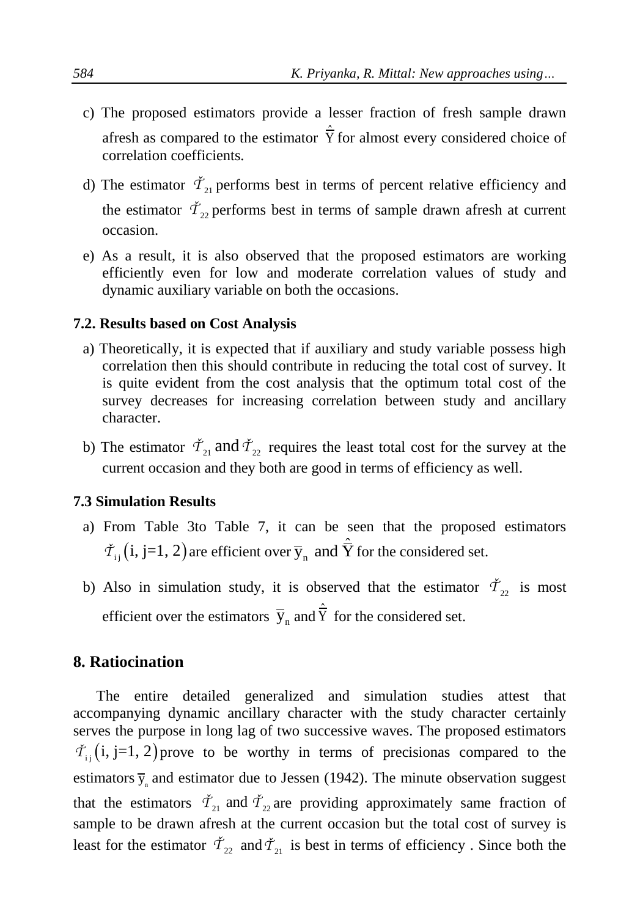- c) The proposed estimators provide a lesser fraction of fresh sample drawn afresh as compared to the estimator  $\hat{\overline{Y}}$  for almost every considered choice of correlation coefficients.
- d) The estimator  $\tilde{T}_{21}$  performs best in terms of percent relative efficiency and the estimator  $\dot{T}_{22}$  performs best in terms of sample drawn afresh at current occasion.
- e) As a result, it is also observed that the proposed estimators are working efficiently even for low and moderate correlation values of study and dynamic auxiliary variable on both the occasions.

#### **7.2. Results based on Cost Analysis**

- a) Theoretically, it is expected that if auxiliary and study variable possess high correlation then this should contribute in reducing the total cost of survey. It is quite evident from the cost analysis that the optimum total cost of the survey decreases for increasing correlation between study and ancillary character.
- b) The estimator  $\check{T}_{21}$  and  $\check{T}_{22}$  requires the least total cost for the survey at the current occasion and they both are good in terms of efficiency as well.

### **7.3 Simulation Results**

- a) From Table 3to Table 7, it can be seen that the proposed estimators  $\tilde{\mathcal{T}}_{i,j}$  (i, j=1, 2) are efficient over  $\bar{y}_n$  and  $\hat{\bar{Y}}$  for the considered set.
- b) Also in simulation study, it is observed that the estimator  $\tilde{T}_{22}$  is most efficient over the estimators  $\bar{y}_n$  and  $\hat{\bar{Y}}$  for the considered set.

### **8. Ratiocination**

The entire detailed generalized and simulation studies attest that accompanying dynamic ancillary character with the study character certainly serves the purpose in long lag of two successive waves. The proposed estimators  $\check{\mathcal{T}}_{ij}$  (i, j=1, 2) prove to be worthy in terms of precisionas compared to the estimators  $\bar{y}_n$  and estimator due to Jessen (1942). The minute observation suggest that the estimators  $\check{T}_{21}$  and  $\check{T}_{22}$  are providing approximately same fraction of sample to be drawn afresh at the current occasion but the total cost of survey is least for the estimator  $\tilde{T}_{22}$  and  $\tilde{T}_{21}$  is best in terms of efficiency. Since both the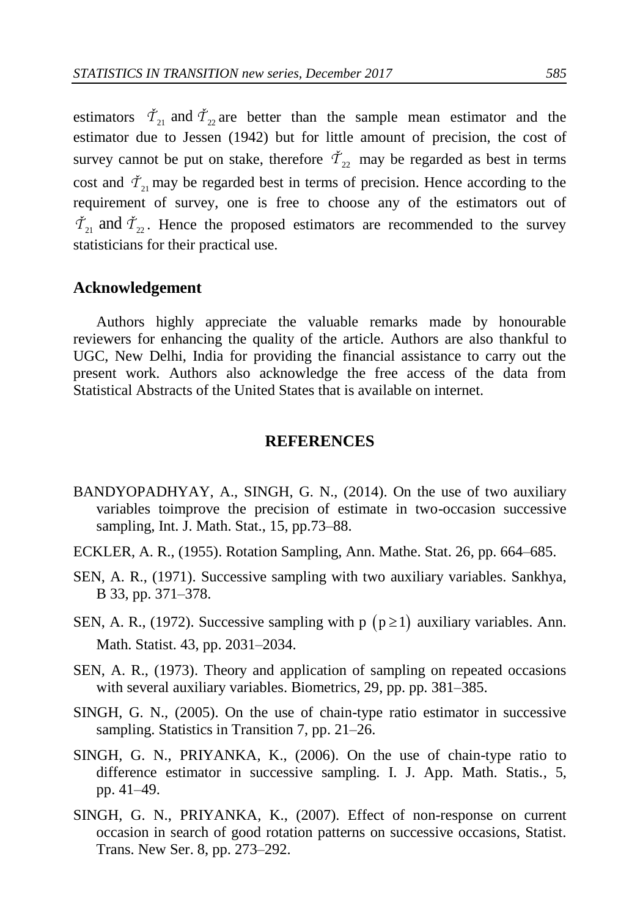estimators  $\check{T}_{21}$  and  $\check{T}_{22}$  are better than the sample mean estimator and the estimator due to Jessen (1942) but for little amount of precision, the cost of survey cannot be put on stake, therefore  $\tilde{T}_{22}$  may be regarded as best in terms cost and  $\tilde{T}_{21}$  may be regarded best in terms of precision. Hence according to the requirement of survey, one is free to choose any of the estimators out of  $\check{T}_{21}$  and  $\check{T}_{22}$ . Hence the proposed estimators are recommended to the survey statisticians for their practical use.

#### **Acknowledgement**

Authors highly appreciate the valuable remarks made by honourable reviewers for enhancing the quality of the article. Authors are also thankful to UGC, New Delhi, India for providing the financial assistance to carry out the present work. Authors also acknowledge the free access of the data from Statistical Abstracts of the United States that is available on internet.

#### **REFERENCES**

- BANDYOPADHYAY, A., SINGH, G. N., (2014). On the use of two auxiliary variables toimprove the precision of estimate in two-occasion successive sampling, Int. J. Math. Stat., 15, pp.73–88.
- ECKLER, A. R., (1955). Rotation Sampling, Ann. Mathe. Stat. 26, pp. 664–685.
- SEN, A. R., (1971). Successive sampling with two auxiliary variables. Sankhya, B 33, pp. 371–378.
- SEN, A. R., (1972). Successive sampling with  $p (p \ge 1)$  auxiliary variables. Ann. Math. Statist. 43, pp. 2031–2034.
- SEN, A. R., (1973). Theory and application of sampling on repeated occasions with several auxiliary variables. Biometrics, 29, pp. pp. 381–385.
- SINGH, G. N., (2005). On the use of chain-type ratio estimator in successive sampling. Statistics in Transition 7, pp. 21–26.
- SINGH, G. N., PRIYANKA, K., (2006). On the use of chain-type ratio to difference estimator in successive sampling. I. J. App. Math. Statis., 5, pp. 41–49.
- SINGH, G. N., PRIYANKA, K., (2007). Effect of non-response on current occasion in search of good rotation patterns on successive occasions, Statist. Trans. New Ser. 8, pp. 273–292.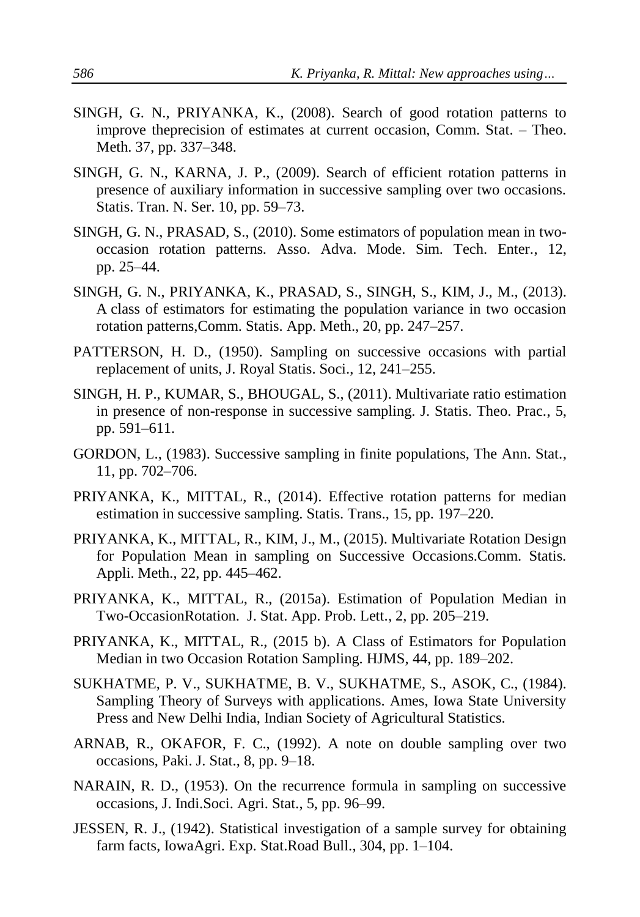- SINGH, G. N., PRIYANKA, K., (2008). Search of good rotation patterns to improve theprecision of estimates at current occasion, Comm. Stat. – Theo. Meth. 37, pp. 337–348.
- SINGH, G. N., KARNA, J. P., (2009). Search of efficient rotation patterns in presence of auxiliary information in successive sampling over two occasions. Statis. Tran. N. Ser. 10, pp. 59–73.
- SINGH, G. N., PRASAD, S., (2010). Some estimators of population mean in twooccasion rotation patterns. Asso. Adva. Mode. Sim. Tech. Enter., 12, pp. 25–44.
- SINGH, G. N., PRIYANKA, K., PRASAD, S., SINGH, S., KIM, J., M., (2013). A class of estimators for estimating the population variance in two occasion rotation patterns,Comm. Statis. App. Meth., 20, pp. 247–257.
- PATTERSON, H. D., (1950). Sampling on successive occasions with partial replacement of units, J. Royal Statis. Soci., 12, 241–255.
- SINGH, H. P., KUMAR, S., BHOUGAL, S., (2011). Multivariate ratio estimation in presence of non-response in successive sampling. J. Statis. Theo. Prac., 5, pp. 591–611.
- GORDON, L., (1983). Successive sampling in finite populations, The Ann. Stat., 11, pp. 702–706.
- PRIYANKA, K., MITTAL, R., (2014). Effective rotation patterns for median estimation in successive sampling. Statis. Trans., 15, pp. 197–220.
- PRIYANKA, K., MITTAL, R., KIM, J., M., (2015). Multivariate Rotation Design for Population Mean in sampling on Successive Occasions.Comm. Statis. Appli. Meth., 22, pp. 445–462.
- PRIYANKA, K., MITTAL, R., (2015a). Estimation of Population Median in Two-OccasionRotation. J. Stat. App. Prob. Lett., 2, pp. 205–219.
- PRIYANKA, K., MITTAL, R., (2015 b). A Class of Estimators for Population Median in two Occasion Rotation Sampling. HJMS, 44, pp. 189–202.
- SUKHATME, P. V., SUKHATME, B. V., SUKHATME, S., ASOK, C., (1984). Sampling Theory of Surveys with applications. Ames, Iowa State University Press and New Delhi India, Indian Society of Agricultural Statistics.
- ARNAB, R., OKAFOR, F. C., (1992). A note on double sampling over two occasions, Paki. J. Stat., 8, pp. 9–18.
- NARAIN, R. D., (1953). On the recurrence formula in sampling on successive occasions, J. Indi.Soci. Agri. Stat., 5, pp. 96–99.
- JESSEN, R. J., (1942). Statistical investigation of a sample survey for obtaining farm facts, IowaAgri. Exp. Stat.Road Bull., 304, pp. 1–104.